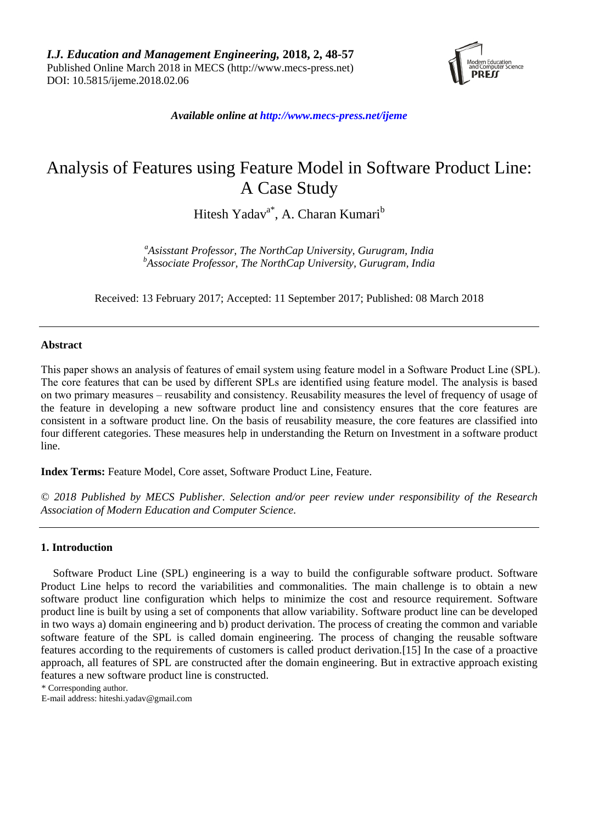

*Available online a[t http://www.mecs-press.net/ijeme](http://www.mecs-press.net/ijeme)*

# Analysis of Features using Feature Model in Software Product Line: A Case Study

Hitesh Yadav<sup>a\*</sup>, A. Charan Kumari<sup>b</sup>

*<sup>a</sup>Asisstant Professor, The NorthCap University, Gurugram, India <sup>b</sup>Associate Professor, The NorthCap University, Gurugram, India*

Received: 13 February 2017; Accepted: 11 September 2017; Published: 08 March 2018

# **Abstract**

This paper shows an analysis of features of email system using feature model in a Software Product Line (SPL). The core features that can be used by different SPLs are identified using feature model. The analysis is based on two primary measures – reusability and consistency. Reusability measures the level of frequency of usage of the feature in developing a new software product line and consistency ensures that the core features are consistent in a software product line. On the basis of reusability measure, the core features are classified into four different categories. These measures help in understanding the Return on Investment in a software product line.

**Index Terms:** Feature Model, Core asset, Software Product Line, Feature.

*© 2018 Published by MECS Publisher. Selection and/or peer review under responsibility of the Research Association of Modern Education and Computer Science.*

# **1. Introduction**

Software Product Line (SPL) engineering is a way to build the configurable software product. Software Product Line helps to record the variabilities and commonalities. The main challenge is to obtain a new software product line configuration which helps to minimize the cost and resource requirement. Software product line is built by using a set of components that allow variability. Software product line can be developed in two ways a) domain engineering and b) product derivation. The process of creating the common and variable software feature of the SPL is called domain engineering. The process of changing the reusable software features according to the requirements of customers is called product derivation.[15] In the case of a proactive approach, all features of SPL are constructed after the domain engineering. But in extractive approach existing features a new software product line is constructed.

\* Corresponding author.

E-mail address: [hiteshi.yadav@gmail.com](mailto:hiteshi.yadav@gmail.com)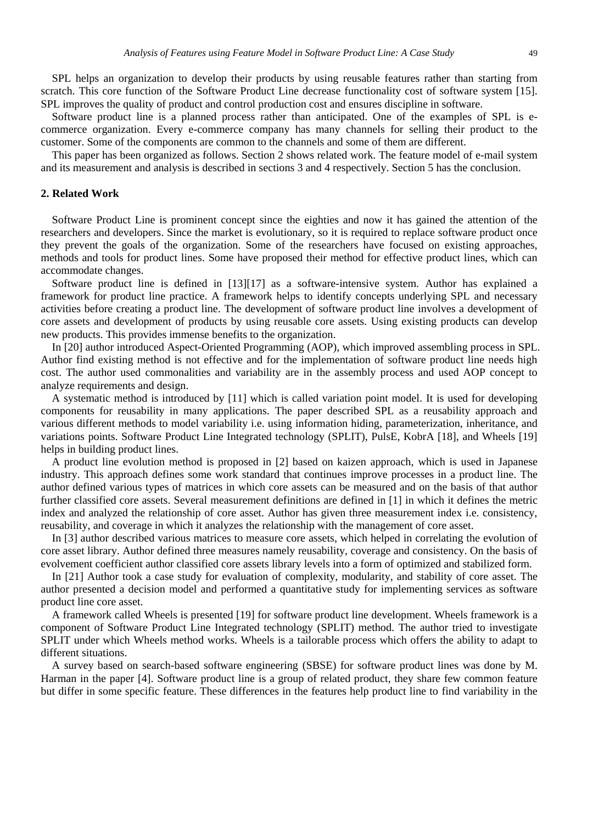SPL helps an organization to develop their products by using reusable features rather than starting from scratch. This core function of the Software Product Line decrease functionality cost of software system [15]. SPL improves the quality of product and control production cost and ensures discipline in software.

Software product line is a planned process rather than anticipated. One of the examples of SPL is ecommerce organization. Every e-commerce company has many channels for selling their product to the customer. Some of the components are common to the channels and some of them are different.

This paper has been organized as follows. Section 2 shows related work. The feature model of e-mail system and its measurement and analysis is described in sections 3 and 4 respectively. Section 5 has the conclusion.

## **2. Related Work**

Software Product Line is prominent concept since the eighties and now it has gained the attention of the researchers and developers. Since the market is evolutionary, so it is required to replace software product once they prevent the goals of the organization. Some of the researchers have focused on existing approaches, methods and tools for product lines. Some have proposed their method for effective product lines, which can accommodate changes.

Software product line is defined in [13][17] as a software-intensive system. Author has explained a framework for product line practice. A framework helps to identify concepts underlying SPL and necessary activities before creating a product line. The development of software product line involves a development of core assets and development of products by using reusable core assets. Using existing products can develop new products. This provides immense benefits to the organization.

In [20] author introduced Aspect-Oriented Programming (AOP), which improved assembling process in SPL. Author find existing method is not effective and for the implementation of software product line needs high cost. The author used commonalities and variability are in the assembly process and used AOP concept to analyze requirements and design.

A systematic method is introduced by [11] which is called variation point model. It is used for developing components for reusability in many applications. The paper described SPL as a reusability approach and various different methods to model variability i.e. using information hiding, parameterization, inheritance, and variations points. Software Product Line Integrated technology (SPLIT), PulsE, KobrA [18], and Wheels [19] helps in building product lines.

A product line evolution method is proposed in [2] based on kaizen approach, which is used in Japanese industry. This approach defines some work standard that continues improve processes in a product line. The author defined various types of matrices in which core assets can be measured and on the basis of that author further classified core assets. Several measurement definitions are defined in [1] in which it defines the metric index and analyzed the relationship of core asset. Author has given three measurement index i.e. consistency, reusability, and coverage in which it analyzes the relationship with the management of core asset.

In [3] author described various matrices to measure core assets, which helped in correlating the evolution of core asset library. Author defined three measures namely reusability, coverage and consistency. On the basis of evolvement coefficient author classified core assets library levels into a form of optimized and stabilized form.

In [21] Author took a case study for evaluation of complexity, modularity, and stability of core asset. The author presented a decision model and performed a quantitative study for implementing services as software product line core asset.

A framework called Wheels is presented [19] for software product line development. Wheels framework is a component of Software Product Line Integrated technology (SPLIT) method. The author tried to investigate SPLIT under which Wheels method works. Wheels is a tailorable process which offers the ability to adapt to different situations.

A survey based on search-based software engineering (SBSE) for software product lines was done by M. Harman in the paper [4]. Software product line is a group of related product, they share few common feature but differ in some specific feature. These differences in the features help product line to find variability in the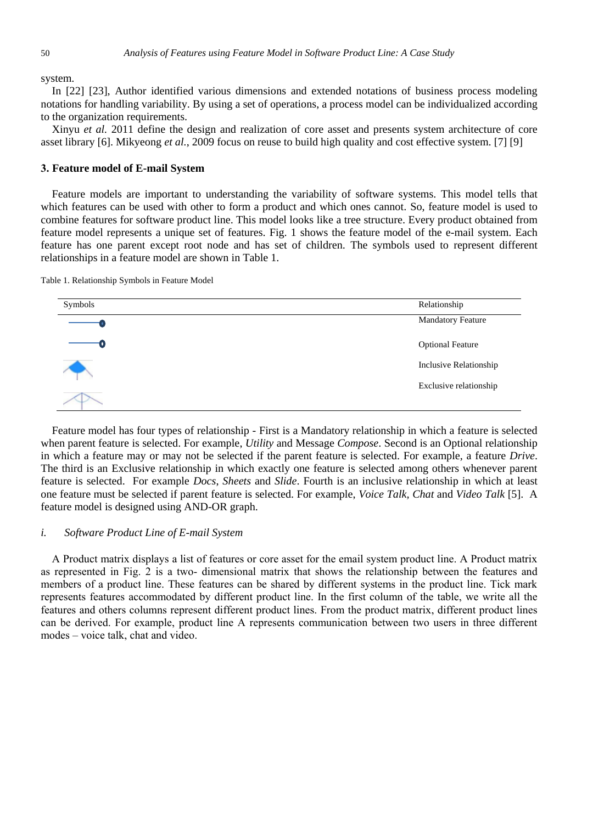system.

In [22] [23], Author identified various dimensions and extended notations of business process modeling notations for handling variability. By using a set of operations, a process model can be individualized according to the organization requirements.

Xinyu *et al.* 2011 define the design and realization of core asset and presents system architecture of core asset library [6]. Mikyeong *et al.*, 2009 focus on reuse to build high quality and cost effective system. [7] [9]

## **3. Feature model of E-mail System**

Feature models are important to understanding the variability of software systems. This model tells that which features can be used with other to form a product and which ones cannot. So, feature model is used to combine features for software product line. This model looks like a tree structure. Every product obtained from feature model represents a unique set of features. Fig. 1 shows the feature model of the e-mail system. Each feature has one parent except root node and has set of children. The symbols used to represent different relationships in a feature model are shown in Table 1.

Table 1. Relationship Symbols in Feature Model



Feature model has four types of relationship - First is a Mandatory relationship in which a feature is selected when parent feature is selected. For example, *Utility* and Message *Compose*. Second is an Optional relationship in which a feature may or may not be selected if the parent feature is selected. For example, a feature *Drive*. The third is an Exclusive relationship in which exactly one feature is selected among others whenever parent feature is selected. For example *Docs*, *Sheets* and *Slide*. Fourth is an inclusive relationship in which at least one feature must be selected if parent feature is selected. For example, *Voice Talk, Chat* and *Video Talk* [5]. A feature model is designed using AND-OR graph.

# *i. Software Product Line of E-mail System*

A Product matrix displays a list of features or core asset for the email system product line. A Product matrix as represented in Fig. 2 is a two- dimensional matrix that shows the relationship between the features and members of a product line. These features can be shared by different systems in the product line. Tick mark represents features accommodated by different product line. In the first column of the table, we write all the features and others columns represent different product lines. From the product matrix, different product lines can be derived. For example, product line A represents communication between two users in three different modes – voice talk, chat and video.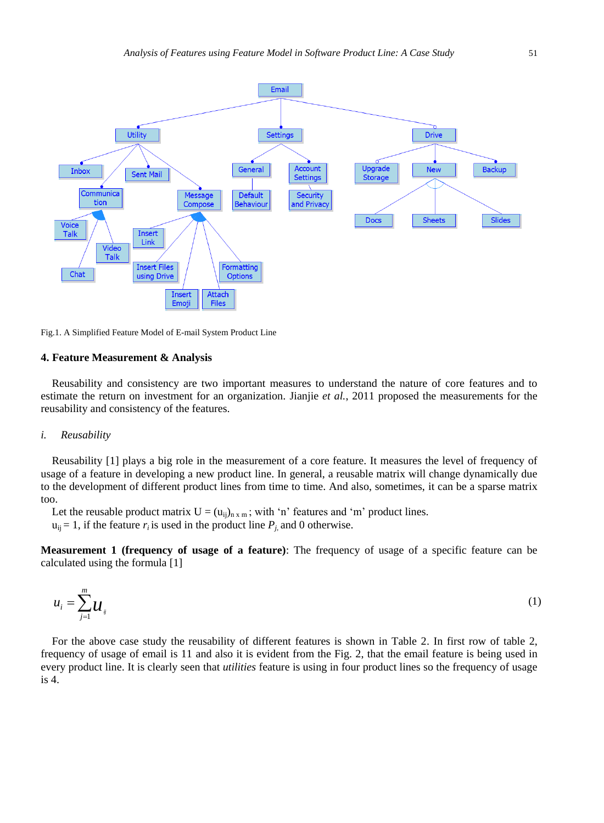

Fig.1. A Simplified Feature Model of E-mail System Product Line

#### **4. Feature Measurement & Analysis**

Reusability and consistency are two important measures to understand the nature of core features and to estimate the return on investment for an organization. Jianjie *et al.*, 2011 proposed the measurements for the reusability and consistency of the features.

#### *i. Reusability*

Reusability [1] plays a big role in the measurement of a core feature. It measures the level of frequency of usage of a feature in developing a new product line. In general, a reusable matrix will change dynamically due to the development of different product lines from time to time. And also, sometimes, it can be a sparse matrix too.

Let the reusable product matrix  $U = (u_{ij})_{n \times m}$ ; with 'n' features and 'm' product lines.  $u_{ij} = 1$ , if the feature  $r_i$  is used in the product line  $P_j$ , and 0 otherwise.

**Measurement 1 (frequency of usage of a feature)**: The frequency of usage of a specific feature can be calculated using the formula [1]

$$
u_i = \sum_{j=1}^m u_{ij} \tag{1}
$$

For the above case study the reusability of different features is shown in Table 2. In first row of table 2, frequency of usage of email is 11 and also it is evident from the Fig. 2, that the email feature is being used in every product line. It is clearly seen that *utilities* feature is using in four product lines so the frequency of usage is 4.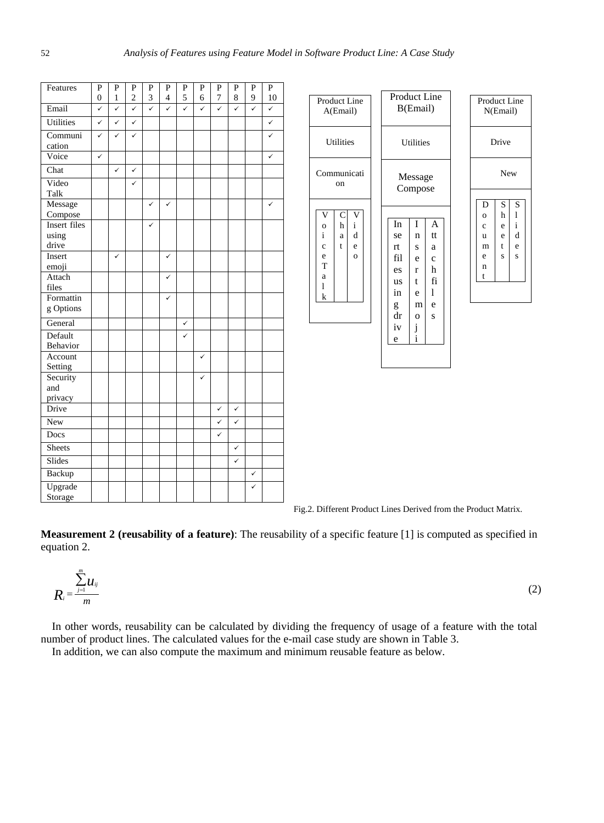| Features                       | P<br>$\mathbf{0}$ | ${\bf P}$<br>$\mathbf{1}$ | P<br>$\overline{\mathbf{c}}$ | P<br>3       | P<br>$\overline{4}$ | P<br>5 | P<br>6 | P<br>$\boldsymbol{7}$ | P<br>8       | ${\bf P}$<br>9 | P<br>10      |
|--------------------------------|-------------------|---------------------------|------------------------------|--------------|---------------------|--------|--------|-----------------------|--------------|----------------|--------------|
| Email                          | ✓                 | $\checkmark$              | $\checkmark$                 | $\checkmark$ | $\checkmark$        | ✓      | ✓      | $\checkmark$          | $\checkmark$ | ✓              | $\checkmark$ |
| <b>Utilities</b>               | $\checkmark$      | $\checkmark$              | $\checkmark$                 |              |                     |        |        |                       |              |                | $\checkmark$ |
| Communi<br>cation              | ✓                 | ✓                         | ✓                            |              |                     |        |        |                       |              |                |              |
| Voice                          | $\checkmark$      |                           |                              |              |                     |        |        |                       |              |                | ✓            |
| Chat                           |                   | $\checkmark$              | ✓                            |              |                     |        |        |                       |              |                |              |
| Video<br>Talk                  |                   |                           | ✓                            |              |                     |        |        |                       |              |                |              |
| Message<br>Compose             |                   |                           |                              | ✓            | $\checkmark$        |        |        |                       |              |                | ✓            |
| Insert files<br>using<br>drive |                   |                           |                              | ✓            |                     |        |        |                       |              |                |              |
| Insert<br>emoji                |                   | ✓                         |                              |              | ✓                   |        |        |                       |              |                |              |
| Attach<br>files                |                   |                           |                              |              | ✓                   |        |        |                       |              |                |              |
| Formattin<br>g Options         |                   |                           |                              |              | ✓                   |        |        |                       |              |                |              |
| General                        |                   |                           |                              |              |                     | ✓      |        |                       |              |                |              |
| Default<br>Behavior            |                   |                           |                              |              |                     | ✓      |        |                       |              |                |              |
| Account<br>Setting             |                   |                           |                              |              |                     |        | ✓      |                       |              |                |              |
| Security<br>and<br>privacy     |                   |                           |                              |              |                     |        | ✓      |                       |              |                |              |
| Drive                          |                   |                           |                              |              |                     |        |        | ✓                     | ✓            |                |              |
| <b>New</b>                     |                   |                           |                              |              |                     |        |        | ✓                     | ✓            |                |              |
| Docs                           |                   |                           |                              |              |                     |        |        | ✓                     |              |                |              |
| Sheets                         |                   |                           |                              |              |                     |        |        |                       | ✓            |                |              |
| Slides                         |                   |                           |                              |              |                     |        |        |                       | ✓            |                |              |
| Backup                         |                   |                           |                              |              |                     |        |        |                       |              | ✓              |              |
| Upgrade<br>Storage             |                   |                           |                              |              |                     |        |        |                       |              | ✓              |              |



Fig.2. Different Product Lines Derived from the Product Matrix.

**Measurement 2 (reusability of a feature)**: The reusability of a specific feature [1] is computed as specified in equation 2.

$$
R_i = \frac{\sum_{j=1}^m u_{ij}}{m} \tag{2}
$$

In other words, reusability can be calculated by dividing the frequency of usage of a feature with the total number of product lines. The calculated values for the e-mail case study are shown in Table 3. In addition, we can also compute the maximum and minimum reusable feature as below.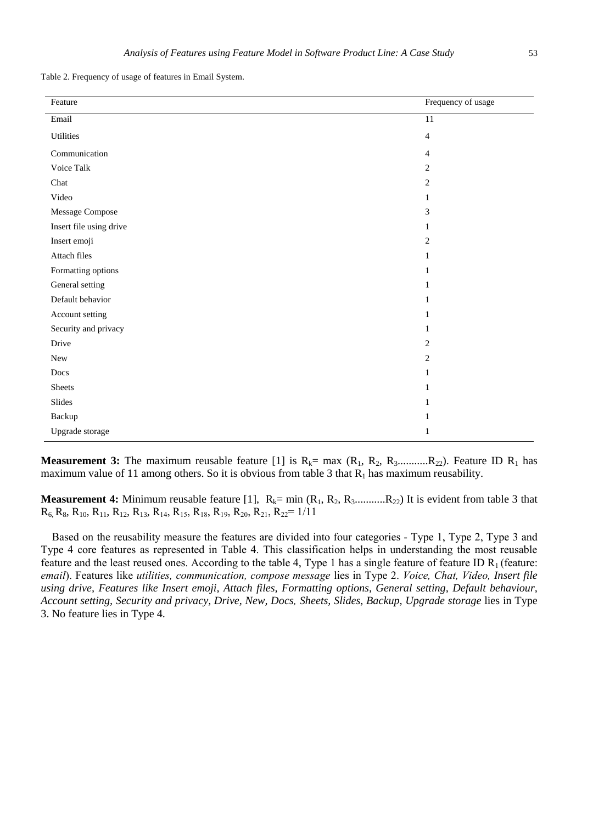Table 2. Frequency of usage of features in Email System.

| Feature                 | Frequency of usage |
|-------------------------|--------------------|
| Email                   | 11                 |
| Utilities               | $\overline{4}$     |
| Communication           | 4                  |
| Voice Talk              | $\overline{c}$     |
| Chat                    | $\overline{c}$     |
| Video                   | $\mathbf{1}$       |
| Message Compose         | 3                  |
| Insert file using drive | $\mathbf{1}$       |
| Insert emoji            | $\overline{c}$     |
| Attach files            | $\mathbf{1}$       |
| Formatting options      | 1                  |
| General setting         | 1                  |
| Default behavior        | $\mathbf{1}$       |
| Account setting         | $\mathbf{1}$       |
| Security and privacy    | $\mathbf{1}$       |
| Drive                   | $\overline{2}$     |
| New                     | $\overline{c}$     |
| Docs                    | $\mathbf{1}$       |
| <b>Sheets</b>           | $\mathbf{1}$       |
| Slides                  | 1                  |
| Backup                  | $\mathbf{1}$       |
| Upgrade storage         | 1                  |

**Measurement 3:** The maximum reusable feature [1] is  $R_k$  = max  $(R_1, R_2, R_3$ ............ $R_{22})$ . Feature ID  $R_1$  has maximum value of 11 among others. So it is obvious from table 3 that  $R_1$  has maximum reusability.

**Measurement 4:** Minimum reusable feature [1],  $R_k = min (R_1, R_2, R_3, \ldots, R_{22})$  It is evident from table 3 that  $R_6$ ,  $R_8$ ,  $R_{10}$ ,  $R_{11}$ ,  $R_{12}$ ,  $R_{13}$ ,  $R_{14}$ ,  $R_{15}$ ,  $R_{18}$ ,  $R_{19}$ ,  $R_{20}$ ,  $R_{21}$ ,  $R_{22}$  = 1/11

Based on the reusability measure the features are divided into four categories - Type 1, Type 2, Type 3 and Type 4 core features as represented in Table 4. This classification helps in understanding the most reusable feature and the least reused ones. According to the table 4, Type 1 has a single feature of feature ID  $R_1$  (feature: *email*). Features like *utilities, communication, compose message* lies in Type 2. *Voice, Chat, Video, Insert file using drive, Features like Insert emoji, Attach files, Formatting options, General setting, Default behaviour, Account setting, Security and privacy, Drive, New, Docs, Sheets, Slides, Backup, Upgrade storage* lies in Type 3. No feature lies in Type 4.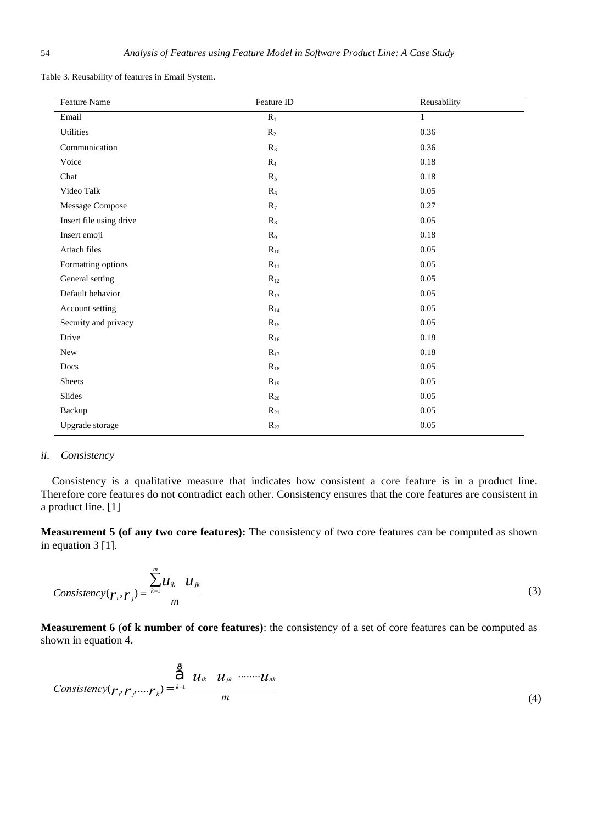| <b>Feature Name</b>     | Feature ID   | Reusability  |
|-------------------------|--------------|--------------|
| Email                   | $R_1$        | $\mathbf{1}$ |
| <b>Utilities</b>        | $R_2$        | 0.36         |
| Communication           | $R_3$        | 0.36         |
| Voice                   | $R_4$        | 0.18         |
| Chat                    | $R_5$        | 0.18         |
| Video Talk              | $R_6$        | 0.05         |
| Message Compose         | $R_7$        | 0.27         |
| Insert file using drive | $R_8$        | 0.05         |
| Insert emoji            | $R_9$        | 0.18         |
| Attach files            | $R_{10}$     | 0.05         |
| Formatting options      | $R_{11}$     | 0.05         |
| General setting         | $R_{12}$     | 0.05         |
| Default behavior        | $R_{13}$     | 0.05         |
| Account setting         | $R_{14}$     | 0.05         |
| Security and privacy    | $R_{15}$     | $0.05\,$     |
| Drive                   | $R_{16}$     | 0.18         |
| New                     | $R_{17}$     | 0.18         |
| Docs                    | $R_{18}$     | $0.05\,$     |
| <b>Sheets</b>           | $R_{19}$     | 0.05         |
| Slides                  | $R_{20}$     | 0.05         |
| Backup                  | $R_{21}$     | 0.05         |
| Upgrade storage         | $\rm R_{22}$ | 0.05         |

Table 3. Reusability of features in Email System.

# *ii. Consistency*

Consistency is a qualitative measure that indicates how consistent a core feature is in a product line. Therefore core features do not contradict each other. Consistency ensures that the core features are consistent in a product line. [1]

**Measurement 5 (of any two core features):** The consistency of two core features can be computed as shown in equation 3 [1].

$$
Consistency(r_i, r_j) = \frac{\sum_{k=1}^{m} u_{ik} \quad u_{jk}}{m}
$$
\n(3)

**Measurement 6** (**of k number of core features)**: the consistency of a set of core features can be computed as shown in equation 4.

$$
Consistency(\boldsymbol{r}_{\ell},\boldsymbol{r}_{\ell},\ldots,\boldsymbol{r}_{k})=\frac{\sum_{k=1}^{m}u_{ik}u_{jk} \cdots u_{nk}}{m}
$$
\n(4)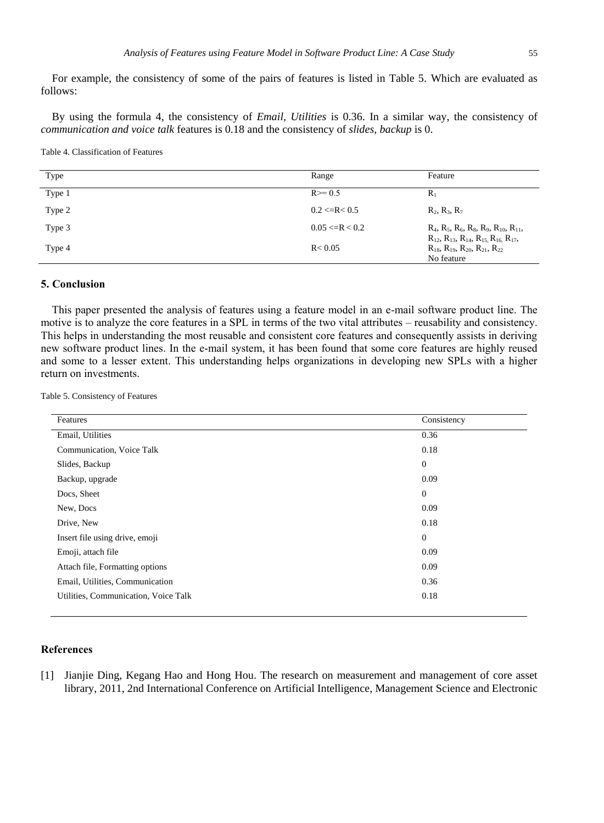For example, the consistency of some of the pairs of features is listed in Table 5. Which are evaluated as follows:

By using the formula 4, the consistency of *Email, Utilities* is 0.36. In a similar way, the consistency of *communication and voice talk* features is 0.18 and the consistency of *slides, backup* is 0.

Table 4. Classification of Features

| Type   | Range                 | Feature                                                                                                                            |
|--------|-----------------------|------------------------------------------------------------------------------------------------------------------------------------|
| Type 1 | $R \ge 0.5$           | $R_1$                                                                                                                              |
| Type 2 | $0.2 \leq R \leq 0.5$ | $R_2, R_3, R_7$                                                                                                                    |
| Type 3 | $0.05 \le R < 0.2$    | $R_4$ , $R_5$ , $R_6$ , $R_8$ , $R_9$ , $R_{10}$ , $R_{11}$ ,<br>$R_{12}$ , $R_{13}$ , $R_{14}$ , $R_{15}$ , $R_{16}$ , $R_{17}$ , |
| Type 4 | R < 0.05              | $R_{18}$ , $R_{19}$ , $R_{20}$ , $R_{21}$ , $R_{22}$<br>No feature                                                                 |

### **5. Conclusion**

This paper presented the analysis of features using a feature model in an e-mail software product line. The motive is to analyze the core features in a SPL in terms of the two vital attributes – reusability and consistency. This helps in understanding the most reusable and consistent core features and consequently assists in deriving new software product lines. In the e-mail system, it has been found that some core features are highly reused and some to a lesser extent. This understanding helps organizations in developing new SPLs with a higher return on investments.

Table 5. Consistency of Features

| Features                             | Consistency      |
|--------------------------------------|------------------|
| Email, Utilities                     | 0.36             |
| Communication, Voice Talk            | 0.18             |
| Slides, Backup                       | $\boldsymbol{0}$ |
| Backup, upgrade                      | 0.09             |
| Docs, Sheet                          | $\boldsymbol{0}$ |
| New, Docs                            | 0.09             |
| Drive, New                           | 0.18             |
| Insert file using drive, emoji       | $\mathbf{0}$     |
| Emoji, attach file                   | 0.09             |
| Attach file, Formatting options      | 0.09             |
| Email, Utilities, Communication      | 0.36             |
| Utilities, Communication, Voice Talk | 0.18             |
|                                      |                  |

## **References**

[1] Jianjie Ding, Kegang Hao and Hong Hou. The research on measurement and management of core asset library, 2011, 2nd International Conference on Artificial Intelligence, Management Science and Electronic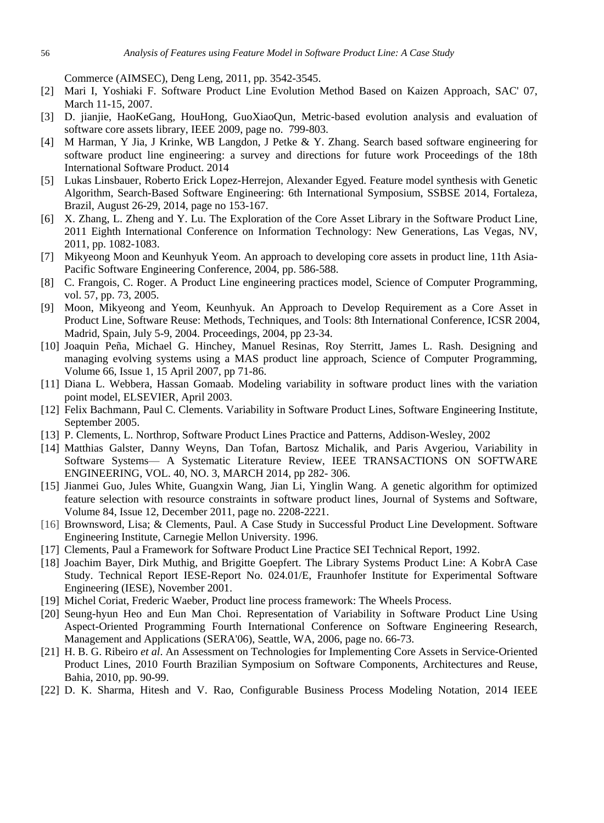Commerce (AIMSEC), Deng Leng, 2011, pp. 3542-3545.

- [2] Mari I, Yoshiaki F. Software Product Line Evolution Method Based on Kaizen Approach, SAC' 07, March 11-15, 2007.
- [3] D. jianjie, HaoKeGang, HouHong, GuoXiaoQun, Metric-based evolution analysis and evaluation of software core assets library, IEEE 2009, page no. 799-803.
- [4] M Harman, Y Jia, J Krinke, WB Langdon, J Petke & Y. Zhang. Search based software engineering for software product line engineering: a survey and directions for future work Proceedings of the 18th International Software Product. 2014
- [5] Lukas Linsbauer, Roberto Erick Lopez-Herrejon, Alexander Egyed. Feature model synthesis with Genetic Algorithm, Search-Based Software Engineering: 6th International Symposium, SSBSE 2014, Fortaleza, Brazil, August 26-29, 2014, page no 153-167.
- [6] X. Zhang, L. Zheng and Y. Lu. The Exploration of the Core Asset Library in the Software Product Line, 2011 Eighth International Conference on Information Technology: New Generations, Las Vegas, NV, 2011, pp. 1082-1083.
- [7] Mikyeong Moon and Keunhyuk Yeom. An approach to developing core assets in product line, 11th Asia-Pacific Software Engineering Conference, 2004, pp. 586-588.
- [8] C. Frangois, C. Roger. A Product Line engineering practices model, Science of Computer Programming, vol. 57, pp. 73, 2005.
- [9] Moon, Mikyeong and Yeom, Keunhyuk. An Approach to Develop Requirement as a Core Asset in Product Line, Software Reuse: Methods, Techniques, and Tools: 8th International Conference, ICSR 2004, Madrid, Spain, July 5-9, 2004. Proceedings, 2004, pp 23-34.
- [10] Joaquin Peña, Michael G. Hinchey, Manuel Resinas, Roy Sterritt, James L. Rash. Designing and managing evolving systems using a MAS product line approach, Science of Computer Programming, Volume 66, Issue 1, 15 April 2007, pp 71-86.
- [11] Diana L. Webbera, Hassan Gomaab. Modeling variability in software product lines with the variation point model, ELSEVIER, April 2003.
- [12] Felix Bachmann, Paul C. Clements. Variability in Software Product Lines, Software Engineering Institute, September 2005.
- [13] P. Clements, L. Northrop, Software Product Lines Practice and Patterns, Addison-Wesley, 2002
- [14] Matthias Galster, Danny Weyns, Dan Tofan, Bartosz Michalik, and Paris Avgeriou, Variability in Software Systems— A Systematic Literature Review, IEEE TRANSACTIONS ON SOFTWARE ENGINEERING, VOL. 40, NO. 3, MARCH 2014, pp 282- 306.
- [15] Jianmei Guo, Jules White, Guangxin Wang, Jian Li, Yinglin Wang. A genetic algorithm for optimized feature selection with resource constraints in software product lines, Journal of Systems and Software, Volume 84, Issue 12, December 2011, page no. 2208-2221.
- [16] Brownsword, Lisa; & Clements, Paul. A Case Study in Successful Product Line Development. Software Engineering Institute, Carnegie Mellon University. 1996.
- [17] Clements, Paul a Framework for Software Product Line Practice SEI Technical Report, 1992.
- [18] Joachim Bayer, Dirk Muthig, and Brigitte Goepfert. The Library Systems Product Line: A KobrA Case Study. Technical Report IESE-Report No. 024.01/E, Fraunhofer Institute for Experimental Software Engineering (IESE), November 2001.
- [19] Michel Coriat, Frederic Waeber, Product line process framework: The Wheels Process.
- [20] Seung-hyun Heo and Eun Man Choi. Representation of Variability in Software Product Line Using Aspect-Oriented Programming Fourth International Conference on Software Engineering Research, Management and Applications (SERA'06), Seattle, WA, 2006, page no. 66-73.
- [21] H. B. G. Ribeiro *et al*. An Assessment on Technologies for Implementing Core Assets in Service-Oriented Product Lines, 2010 Fourth Brazilian Symposium on Software Components, Architectures and Reuse, Bahia, 2010, pp. 90-99.
- [22] D. K. Sharma, Hitesh and V. Rao, Configurable Business Process Modeling Notation, 2014 IEEE